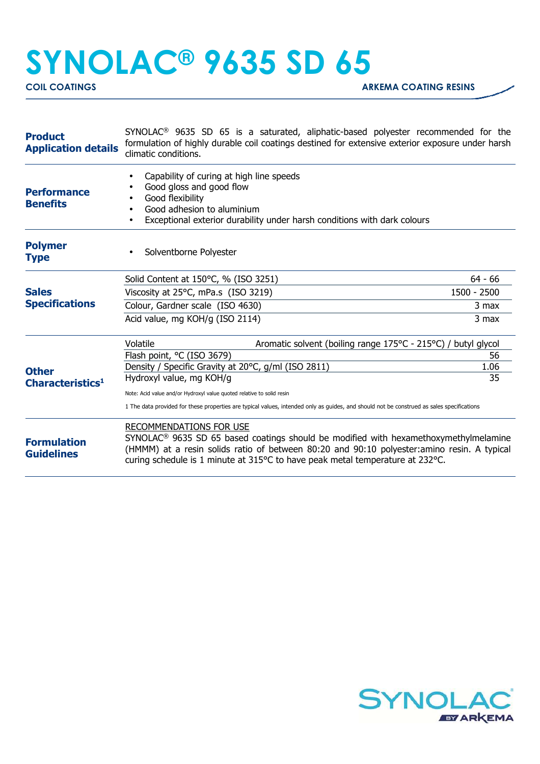## **SYNOLAC® 9635 SD 65**

| <b>Product</b><br><b>Application details</b> | SYNOLAC <sup>®</sup> 9635 SD 65 is a saturated, aliphatic-based polyester recommended for the<br>formulation of highly durable coil coatings destined for extensive exterior exposure under harsh<br>climatic conditions.                                                                                   |             |  |
|----------------------------------------------|-------------------------------------------------------------------------------------------------------------------------------------------------------------------------------------------------------------------------------------------------------------------------------------------------------------|-------------|--|
| <b>Performance</b><br><b>Benefits</b>        | Capability of curing at high line speeds<br>Good gloss and good flow<br>Good flexibility<br>Good adhesion to aluminium<br>Exceptional exterior durability under harsh conditions with dark colours<br>٠                                                                                                     |             |  |
| <b>Polymer</b><br><b>Type</b>                | Solventborne Polyester                                                                                                                                                                                                                                                                                      |             |  |
| <b>Sales</b><br><b>Specifications</b>        | Solid Content at 150°C, % (ISO 3251)                                                                                                                                                                                                                                                                        | $64 - 66$   |  |
|                                              | Viscosity at 25°C, mPa.s (ISO 3219)                                                                                                                                                                                                                                                                         | 1500 - 2500 |  |
|                                              | Colour, Gardner scale (ISO 4630)                                                                                                                                                                                                                                                                            | 3 max       |  |
|                                              | Acid value, mg KOH/g (ISO 2114)                                                                                                                                                                                                                                                                             | 3 max       |  |
| <b>Other</b><br>$Characteristics1$           | Volatile<br>Aromatic solvent (boiling range 175°C - 215°C) / butyl glycol                                                                                                                                                                                                                                   |             |  |
|                                              | Flash point, °C (ISO 3679)                                                                                                                                                                                                                                                                                  | 56          |  |
|                                              | Density / Specific Gravity at 20°C, g/ml (ISO 2811)                                                                                                                                                                                                                                                         | 1.06        |  |
|                                              | Hydroxyl value, mg KOH/g                                                                                                                                                                                                                                                                                    | 35          |  |
|                                              | Note: Acid value and/or Hydroxyl value quoted relative to solid resin                                                                                                                                                                                                                                       |             |  |
|                                              | 1 The data provided for these properties are typical values, intended only as guides, and should not be construed as sales specifications                                                                                                                                                                   |             |  |
| <b>Formulation</b><br><b>Guidelines</b>      | RECOMMENDATIONS FOR USE<br>SYNOLAC <sup>®</sup> 9635 SD 65 based coatings should be modified with hexamethoxymethylmelamine<br>(HMMM) at a resin solids ratio of between 80:20 and 90:10 polyester: amino resin. A typical<br>curing schedule is 1 minute at 315°C to have peak metal temperature at 232°C. |             |  |